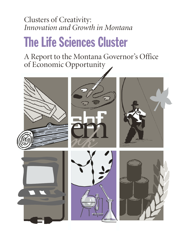# Clusters of Creativity: *Innovation and Growth in Montana*

# The Life Sciences Cluster

A Report to the Montana Governor's Office of Economic Opportunity

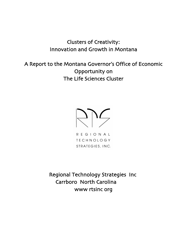# Clusters of Creativity: Innovation and Growth in Montana

A Report to the Montana Governor's Office of Economic Opportunity on The Life Sciences Cluster

2003

R E G I O N A L **TECHNOLOGY** STRATEGIES, INC.

Regional Technology Strategies, Inc. Carrboro, North Carolina 27510 www.rtsinc.org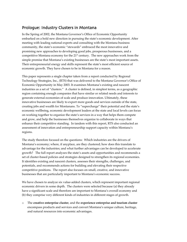# Prologue: Industry Clusters in Montana

In the Spring of 2002, the Montana Governor's Office of Economic Opportunity embarked on a bold new direction in pursuing the state's economic development. After meeting with leading national experts and consulting with the Montana business community, the state's economic "stewards" embraced the most innovative and promising new approaches to developing good jobs, prosperous businesses, and a competitive Montana economy for the  $21<sup>st</sup>$  century. The new approaches work from the simple premise that Montana's existing businesses are the state's most important assets. Their entrepreneurial energy and skills represent the state's most efficient source of economic growth. They have chosen to be in Montana for a reason.

This paper represents a single chapter taken from a report conducted by Regional Technology Strategies, Inc., (RTS) that was delivered to the Montana Governor's Office of Economic Opportunity in May 2003. It examines Montana's existing and nascent industries as a set of "clusters." A cluster is defined, in simplest terms, as a geographic region containing enough companies that have similar or related needs and interests to generate external economies of scale and produce innovation. Ultimately, these innovative businesses are likely to export more goods and services outside of the state, creating jobs and wealth for Montanans. To "supercharge" their potential and the state's economic wellbeing, economic development leaders at the state and local levels can focus on working together to organize the state's services in a way that helps them compete and grow, and help the businesses themselves organize to collaborate in ways that enhance their competitive standing. In tandem with this report, RTS also conducted an assessment of innovation and entrepreneurship support capacity within Montana's regions.

The study therefore focused on the questions: Which industries are the drivers of Montana's economy; where, if anyplace, are they clustered; how does this translate to advantage for the industries; and what further advantages can be developed to accelerate growth? The full report analyzes the state's assets and opportunities and recommends a set of cluster-based policies and strategies designed to strengthen its regional economies. It identifies existing and nascent clusters, assesses their strengths, challenges, and potentials, and recommends actions for building and elevating their respective competitive positions. The report also focuses on small, creative, and innovative businesses that are particularly important to Montana's economic success.

We have chosen to analyze six value-added clusters, which represent important regional economic drivers in some depth. The clusters were selected because (a) they already have a significant scale and therefore are important to Montana's overall economy and (b) they comprise very different kinds of industries in different stages of growth.

o The **creative enterprise cluster**, and the **experience enterprise and tourism cluster** encompass products and services and convert Montana's unique culture, heritage, and natural resources into economic advantages.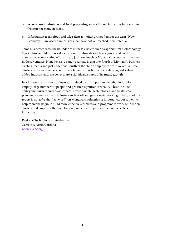- o **Wood-based industries** and **food processing** are traditional industries important to the state for many decades.
- o **Information technology** and **life sciences**—often grouped under the term "New Economy"—are ascendant clusters that have not yet reached their potential.

Some businesses cross the boundaries of these clusters such as agricultural biotechnology (agriculture and life sciences), or custom furniture design firms (wood and creative enterprises, complicating efforts to say just how much of Montana's economy is involved in these ventures. Nonetheless, a rough estimate is that one-fourth of Montana's business establishments and just under one-fourth of the state's employees are involved in these clusters. Cluster members comprise a larger proportion of the state's highest valueadded industry and, we believe, are a significant source of its future growth.

In addition to the industry clusters examined by this report, many other industries employ large numbers of people and produce significant revenue. These include embryonic clusters such as aerospace, environmental technologies, and health care planners, as well as mature clusters such as oil and gas or metalworking. The goal of this report is not to be the "last word" on Montana's industries of importance, but rather, to help Montana begin to build more effective structures and programs to work with the six clusters and empower the state to be a more effective partner to all of the state's industries.

Regional Technology Strategies, Inc. Carrboro, North Carolina www.rtsinc.org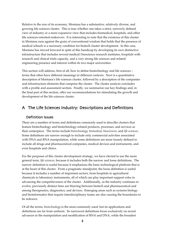Relative to the size of its economy, Montana has a substantive, relatively diverse, and growing life sciences cluster. This is true whether one takes a strict, narrowly defined view of industry or a more expansive view that includes biomedical, hospitals, and other life sciences-oriented endeavors. It is interesting to note that the existence of this cluster in Montana runs against the grain of conventional wisdom that holds that the presence of medical schools is a necessary condition for biotech cluster development. In this case, Montana has moved forward in spite of this handicap by developing its own distinctive infrastructure that includes several medical/bioscience research institutes, hospitals with research and clinical trials capacity, and a very strong life sciences and relatedengineering presence and interest within its two major universities.

This section will address, first of all, how to define biotechnology and life sciences – terms that often have different meanings in different contexts. Next is a quantitative description of Montana's life sciences cluster, followed by a description of the companies and infrastructure elements that comprise the cluster. The cluster analysis concludes with a profile and assessment section. Finally, we summarize our key findings and, in the final part of this section, offer our recommendations for stimulating the growth and development of the life sciences cluster.

## A. The Life Sciences Industry: Descriptions and Definitions

#### 1. Definition Issues

There are a number of terms and definitions commonly used to describe clusters that feature biotechnology and biotechnology-related products, processes, and services as their centerpiece. The terms include *biotechnology, biomedical, biosciences*, and *life sciences*. Some definitions are narrow enough to include only commercial activities associated with DNA and RNA manipulation, while some definitions are more loosely defined to include all drugs and pharmaceutical companies, medical devices and instruments, and even hospitals and clinics.

For the purposes of this cluster development strategy, we have elected to use the more general term, *life sciences*, because it includes both the narrow and loose definitions. The narrow definition is useful because it emphasizes the basic technological platform that is at the heart of this cluster. From a pragmatic standpoint, the loose definition is useful because it includes a number of important sectors, from hospitals to agricultural chemicals to laboratory instruments, all of which can play important support roles in advancing the competitiveness of the cluster. Additionally, as the industry continues to evolve, previously distinct lines are blurring between biotech and pharmaceutical and among therapeutics, diagnostics, and devices. Emerging areas such as systems biology and bioinformatics that require interdisciplinary teams are also causing the boundaries to be redrawn.

Of all the terms, *biotechnology* is the most commonly used, but its applications and definitions are far from uniform. Its narrowest definitions focus exclusively on recent advances in the manipulation and modification of RNA and DNA, while the broadest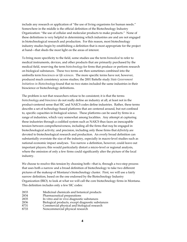include any research or application of "the use of living organisms for human needs." Somewhere in the middle is the official definition of the Biotechnology Industry Organization: "the use of cellular and molecular products to make products." None of these definitions is very helpful in determining which industries are and are not engaged in biotechnological research and production. For this reason, most biotechnology industry studies begin by establishing a definition that is most appropriate for the project at hand—that sheds the most light on the areas of interest.

To bring more specificity to the field, some studies use the term *biomedical* to refer to medical instruments, devices, and other products that are primarily purchased by the medical field, reserving the term *biotechnology* for firms that produce or perform research on biological substances. These two terms are then sometimes combined into the umbrella term *biosciences* or *life sciences*. The more specific terms have not, however, produced much consistency across studies; the 2001 Battelle study *State Government Initiatives in Biotechnology* found that no two states included the same industries in their bioscience or biotechnology definitions.

The problem is not that researchers refuse to be consistent; it is that the terms *biotechnology* and *bioscience* do not really define an industry at all, at least not in the product-centered sense that SIC and NAICS codes define industries. Rather, these terms describe a set of technology-based platforms that are centered around, but not confined to, specific capacities in biological science. These platforms can be used by firms in a range of industries, which vary somewhat among localities. Any attempt at capturing these industries through a codified system such as NAICS thus faces an inescapable tension between comprehensiveness, including all the firms that *may* be engaged in biotechnological activity; and precision, including only those firms that *definitely* are devoted to biotechnological research and production. An overly broad definition can substantially overstate the size of the industry, especially in macro-level studies such as national economic impact analyses. Too narrow a definition, however, could leave out important players; this would particularly distort a micro-level or regional analysis, where the omission of only a few firms could significantly alter the picture of the local industry.

We choose to resolve this tension by choosing both—that is, through a two-step process that uses both a narrow and a broad definition of biotechnology to take two different pictures of the makeup of Montana's biotechnology cluster. First, we will use a fairly narrow definition, based on the one endorsed by the Biotechnology Industry Organization (BIO), to look at what we will call the core biotechnology firms in Montana. This definition includes only a few SIC codes:

- 2833 Medicinal chemicals and botanical products<br>2834 Pharmaceutical preparations Pharmaceutical preparations 2835 In vitro and in vivo diagnostic substances
- 2836 Biological products, except diagnostic substances
- 8731 Commercial physical and biological research
- 8733 Noncommercial physical research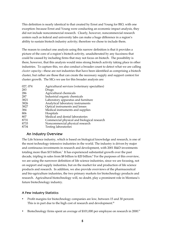This definition is nearly identical to that created by Ernst and Young for BIO, with one exception: because Ernst and Young were conducting an economic impact analysis, they did not include noncommercial research. Clearly, however, noncommercial research centers such as federal and university labs can make a huge difference in a region's ability to sustain biotech industry activity; therefore we chose to include them.

The reason to conduct one analysis using this narrow definition is that it provides a picture of the core of a region's biotech activity, unadulterated by any fuzziness that could be caused by including firms that may not focus on biotech. The possibility is there, however, that this analysis would miss strong biotech activity taking place in other industries. To capture this, we also conduct a broader count to detect what we are calling *cluster capacity*—these are not industries that have been identified as comprising a biotech cluster, but rather are those that can create the necessary supply and support context for cluster growth. The SICs we use for this broader analysis are:

| 027, 074 | Agricultural services (veterinary specialties) |
|----------|------------------------------------------------|
| 283      | Drugs                                          |
| 286      | Agricultural chemicals                         |
| 287      | Industrial organic chemicals                   |
| 3821     | Laboratory apparatus and furniture             |
| 3826     | Analytical laboratory instruments              |
| 3827     | Optical instruments and lenses                 |
| 384      | Medical instruments and supplies               |
| 806      | Hospitals                                      |
| 807      | Medical and dental laboratories                |
| 8731     | Commercial physical and biological research    |
| 8733     | Noncommercial physical research                |
| 8734     | <b>Testing laboratories</b>                    |

#### 2. An Industry Overview

The Life Science industry, which is based on biological knowledge and research, is one of the most technology-intensive industries in the world. The industry is driven by major and continuous investments in research and development, with 2001 R&D investments totaling more than \$15 billion.<sup>i</sup> It has experienced substantial growth over the past decade, tripling in sales from \$8 billion to \$20 billion.<sup>ii</sup> For the purposes of this overview, we are using the narrower definition of life science industries, since we are focusing, not on support and supply industries, but on the market for and production of life science products and research. In addition, we also provide overviews of the pharmaceutical and bio-agriculture industries, the two primary markets for biotechnology products and research. Agricultural biotechnology will, no doubt, play a prominent role in Montana's future biotechnology industry.

#### A Few Industry Statistics

Profit margins for biotechnology companies are low, between 15 and 30 percent. This is in part due to the high cost of research and development.<sup>iii</sup>

Biotechnology firms spent an average of \$101,000 per employee on research in 2000.<sup>iv</sup>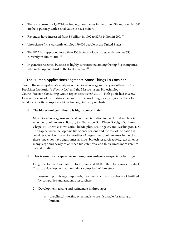There are currently 1,457 biotechnology companies in the United States, of which 342 are held publicly with a total value of \$224 billion. $v$ 

Revenues have increased from \$8 billion in 1992 to \$27.6 billion in 2001.<sup>vi</sup>

Life science firms currently employ 179,000 people in the United States.

The FDA has approved more than 130 biotechnology drugs, with another 350 currently in clinical trial.<sup>vii</sup>

In genetics research, business is highly concentrated among the top five companies who make up one-third of the total revenue.<sup>viii</sup>

#### 3. The Human Applications Segment: Some Things To Consider

Two of the most up-to-date analyses of the biotechnology industry are offered in the Brookings Institution's *Signs of Life*ix and the Massachusetts Biotechnology Council/Boston Consulting Group report MassBiotech 2010<sup>x</sup>—both published in 2002. Here are several of the findings that are worth considering for any region seeking to build its capacity to support a biotechnology industry or cluster.

#### **Fig. 5** The biotechnology industry is highly concentrated.

Most biotechnology research and commercialization in the U.S. takes place in nine metropolitan areas: Boston, San Francisco, San Diego, Raleigh-Durham-Chapel Hill, Seattle, New York, Philadelphia, Los Angeles, and Washington, D.C. The gap between the top nine life science regions and the rest of the nation is considerable. Compared to the other 42 largest metropolitan areas in the U.S., these nine cities have eight times as much biotech research activity, ten times as many large and newly established biotech firms, and thirty times more venture capital funding.

ß **This is usually an expensive and long-term endeavor – especially for drugs.**

Drug development can take up to 15 years and \$800 million for a single product. The drug development value chain is comprised of four steps.

- $\triangleleft$  Research: promising compounds, treatments, and approaches are identified by companies and academic researchers
- $\div$  Development: testing and refinement in three steps
	- o pre-clinical testing on animals to see if suitable for testing on humans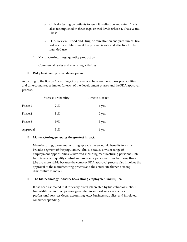- o clinical testing on patients to see if it is effective and safe. This is also accomplished in three steps or trial levels (Phase 1, Phase 2 and Phase 3).
- o FDA Review Food and Drug Administration analyzes clinical trial test results to determine if the product is safe and effective for its intended use.
- Manufacturing: large quantity production
- v Commercial: sales and marketing activities
- Risky business: product development

According to the Boston Consulting Group analysis, here are the success probabilities and time-to-market estimates for each of the development phases and the FDA approval process.

|          | <b>Success Probability</b> | <b>Time to Market</b> |
|----------|----------------------------|-----------------------|
| Phase 1  | 21%                        | 6 yrs.                |
| Phase 2  | 31%                        | 5 yrs.                |
| Phase 3  | 59%                        | 3 yrs.                |
| Approval | 91%                        | 1 yr.                 |

#### **Kanufacturing generates the greatest impact.**

Manufacturing/bio-manufacturing spreads the economic benefits to a much broader segment of the population. This is because a wider range of employment opportunities is involved including manufacturing personnel, lab technicians, and quality control and assurance personnel. Furthermore, these jobs are more stable because the complex FDA approval process also involves the approval of the manufacturing process and the actual site (hence a strong disincentive to move).

#### ß **The biotechnology industry has a strong employment multiplier.**

It has been estimated that for every direct job created by biotechnology, about two additional indirect jobs are generated in support services such as professional services (legal, accounting, etc.), business supplies, and in related consumer spending.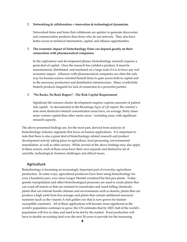#### ß **Networking & collaboration = innovation & technological dynamism.**

Networked firms and firms that collaborate are quicker to generate discoveries and commercialize products than firms who do not network. They also have better access to technical information, capital, and alliance opportunities.

#### ß **The economic impact of biotechnology firms can depend greatly on their connections with pharmaceutical companies.**

In the exploratory and development phases, biotechnology research requires a great deal of capital. Once the research has yielded a product, it must be manufactured, distributed, and marketed on a large scale if it is to have any real economic impact. Alliances with pharmaceutical companies are often the only way for human-science oriented biotech firms to gain access both to capital and to the necessary production and distribution infrastructure. Many worthwhile biotech products languish for lack of connection to a powerful partner.

ß **"No Bucks, No Buck Rogers": The Risk Capital Requirement**

Significant life sciences cluster development requires copious amounts of patient risk capital. As documented in the Brookings *Signs of Life* report, the country's nine most distinctive biotech concentration areas have, on average, thirty times more venture capital than other metro areas – including areas with significant research capacity.

The above-presented findings are, for the most part, derived from analyses of biotechnology industry segments that focus on human applications. It is important to note that there is also a great deal of biotechnology-related research and product development activity taking place in agriculture, food processing, environmental remediation, as well as other sectors. While several of the above findings may also apply to these sectors, each of these areas have their own separate and distinctive set of scientific, technological, business challenges and ethical issues.

#### 4. Agriculture

Biotechnology is becoming an increasingly important part of everyday agriculture production. In some ways, agricultural producers have been using biotechnology for over a hundred years, ever since Gregor Mendel crossbred his first pea plants. Today, genetic manipulation and other biotechnological processes are used to create plants that can ward off insects or that are resistant to insecticides and weed-killing chemicals; plants that can tolerate hostile climates and environments such as deserts; plants that can produce a high yield from less acreage; and plants that contain additional necessary nutrients (such as the vitamin A-rich golden rice that is now grown for faminesusceptible countries). All of these applications will become more significant as the world's population continues to grow; the UN estimates that by 2025, half of the world's population will live in cities and need to be fed by the market. Food production will have to double on existing land over the next 30 years to provide for the increasing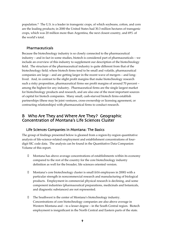population.<sup>xi</sup> The U.S. is a leader in transgenic crops, of which soybeans, cotton, and corn are the leading products; in 2000 the United States had 30.3 million hectares of transgenic crops, which was 20 million more than Argentina, the next closest country, and 69% of the world's total.

#### 5. Pharmaceuticals

Because the biotechnology industry is so closely connected to the pharmaceutical industry – and in fact in some studies, biotech is considered part of pharmaceuticals – we include an overview of this industry to supplement our description of the biotechnology field. The structure of the pharmaceutical industry is quite different from that of the biotechnology field; where biotech firms tend to be small and volatile, pharmaceutical companies are large – and are getting larger in the recent wave of mergers – and longlived. And, in contrast to the slight profit margins that make biotechnology research such a risky proposition, pharmaceutical firms see profit margins of around 70 percent – among the highest for any industry. Pharmaceutical firms are the single largest market for biotechnology products and research, and are also one of the most important sources of capital for biotech companies. Many small, cash-starved biotech firms establish partnerships (these may be joint ventures, cross-ownership or licensing agreement, or contracting relationships) with pharmaceutical firms to conduct research.

### B. Who Are They and Where Are They? Geographic Concentration of Montana's Life Sciences Cluster

#### 1. Life Sciences Companies in Montana: The Basics

The group of findings presented below is gleaned from a region-by-region quantitative analysis of life-science-related employment and establishment concentrations of fourdigit SIC code data. The analysis can be found in the Quantitative Data Companion Volume of this report.

- ß Montana has above average concentrations of establishments within its economy compared to the rest of the country for the core biotechnology industry definition as well for the broader, life sciences oriented version.
- ß Montana's core biotechnology cluster is small (616 employees in 2000) with a particular strength in noncommercial research and manufacturing of biological products. Employment in commercial physical research is declining, and some component industries (pharmaceutical preparations, medicinals and botanicals, and diagnostic substances) are not represented.
- The Southwest is the center of Montana's biotechnology industry. Concentrations of core biotechnology companies are also above average in Western Montana and – to a lesser degree – in the South Central region. Biotech employment is insignificant in the North Central and Eastern parts of the state.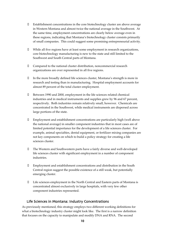- ß Establishment concentrations in the core biotechnology cluster are above average in Western Montana and almost twice the national average in the Southwest. At the same time, employment concentrations are clearly below average even in these regions, indicating that Montana's biotechnology cluster consists primarily of small companies. This could suggest some promising entrepreneurial activity.
- While all five regions have at least some employment in research organizations, core biotechnology manufacturing is new to the state and still limited to the Southwest and South Central parts of Montana.
- ß Compared to the national cluster distribution, noncommercial research organizations are over represented in all five regions.
- ß In the more broadly defined life sciences cluster, Montana's strength is more in research and testing than in manufacturing. Hospital employment accounts for almost 89 percent of the total cluster employment.
- ß Between 1990 and 2000, employment in the life sciences related chemical industries and in medical instruments and supplies grew by 96 and 67 percent, respectively. Both industries remain relatively small, however. Chemicals are concentrated in the Southwest, while medical instruments are dispersed across large portions of the state.
- **Employment and establishment concentrations are particularly high (well above** the national average) in smaller component industries that in most cases are of limited potential importance for the development of a life sciences cluster. For example, animal specialties, dental equipment, or fertilizer mixing companies are not key components on which to build a policy strategy for creating a life sciences cluster.
- ß The Western and Southwestern parts have a fairly diverse and well-developed life sciences cluster with significant employment in a number of component industries.
- ß Employment and establishment concentrations and distribution in the South Central region suggest the possible existence of a still weak, but potentially emerging cluster.
- ß Life sciences employment in the North Central and Eastern parts of Montana is concentrated almost exclusively in large hospitals, with very few other component industries represented.

#### 2. Life Sciences in Montana: Industry Concentrations

As previously mentioned, this strategy employs two different working definitions for what a biotechnology industry cluster might look like. The first is a narrow definition that focuses on the capacity to manipulate and modify DNA and RNA. The second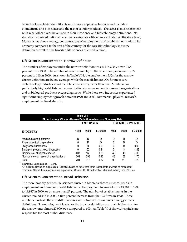biotechnology cluster definition is much more expansive in scope and includes biomedicine and bioscience and the use of cellular products. The latter is most consistent with what other states have used in their bioscience and biotechnology definitions. No statistically derived national benchmark exists for a life sciences cluster. At the state level, Montana has above average concentrations of employment and establishments within its economy compared to the rest of the country for the core biotechnology industry definition as well for the broader, life sciences oriented version.

#### Life Sciences Concentration, Narrow Definition

The number of employees under the narrow definition was 616 in 2000, down 12.5 percent from 1990. The number of establishments, on the other hand, increased by 22 percent to 110 in 2000. As shown in Table VI-1, the employment LQs for the narrow cluster definition are below average, while the establishment LQs for most core biotechnology industries and the total cluster are greater than one. Montana has particularly high establishment concentrations in noncommercial research organizations and in biological products except diagnostic. While these two industries experienced significant employment growth between 1990 and 2000, commercial physical research employment declined sharply.

| Table VI-1<br><b>Biotechnology Cluster (Narrow Definition) - Montana Summary Data</b> |      |                   |                |      |      |                       |
|---------------------------------------------------------------------------------------|------|-------------------|----------------|------|------|-----------------------|
|                                                                                       |      | <b>EMPLOYMENT</b> |                |      |      | <b>ESTABLISHMENTS</b> |
| <b>INDUSTRY</b>                                                                       | 1990 | 2000              | <b>LQ 2000</b> | 1990 | 2000 | LQ 2000               |
| Medicinals and botanicals                                                             | D    | D                 | D              | D    | D    | D                     |
| Pharmaceutical preparations                                                           | 0    | D                 | D              | 0    | D    | D                     |
| Diagnostic substances                                                                 | 0    | 0                 | 0.00           | 0    | 0    | 0.00                  |
| Biological products exc. diagnostic                                                   | 0    | 52                | 0.84           | 0    | 3    | 1.43                  |
| Commercial physical research                                                          | 407  | 163               | 0.25           | 46   | 48   | 1.05                  |
| Noncommercial research organizations                                                  | 262  | 398               | 0.92           | 43   | 56   | 1.70                  |
| Total                                                                                 | 704  | 616               | 0.32           | 90   | 110  | 1.20                  |

Source: ES-202 data and RTS, Inc.

"D" indicates disclosure suppression. Statistics based on fewer than three respondents or where on respondent represents 80% of the employment are suppressed. Source: MT Department of Labor and Industry, and RTS, Inc.

#### Life Sciences Concentration, Broad Definition

The more broadly defined life sciences cluster in Montana shows upward trends in employment and number of establishments. Employment increased from 15,701 in 1990 to 19,987 in 2000, or by more than 27 percent. The number of establishments in the cluster totaled 445 in 2000, a five percent increase from the 423 firms in 1990. These numbers illustrate the vast difference in scale between the two biotechnology cluster definitions. The employment levels for the broader definition are much higher than for the narrow one; almost 20,000 jobs compared to 600. As Table VI-2 shows, hospitals are responsible for most of that difference.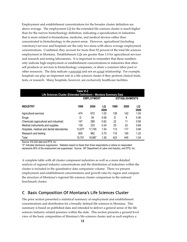Employment and establishment concentrations for the broader cluster definition are above average. The employment LQ for the extended life sciences cluster is much higher than for the narrow biotechnology definition, indicating a specialization in industries that is more related to biomedicine, medicine, and medical devices rather than concentrated in biotechnology in the purest sense. However, agricultural (including veterinary) services and hospitals are the only two areas with above average employment concentrations. Combined, they account for more than 92 percent of the total life sciences employment in Montana. Establishment LQs are greater than 1.0 for agricultural services and research and testing laboratories. It is important to remember that these numbers only indicate high employment or establishment concentrations in industries that often sell products or services to biotechnology companies, or share a common labor pool or other resources. The data indicate a *potential* and not an *actual* relationship. For example, hospitals can play an important role in a life sciences cluster if they perform clinical trials, tests, or research. Many hospitals, however, are exclusively healthcare facilities.

| Table VI-2<br>Life Sciences Cluster (Extended Definition) - Montana Summary Data |                                            |        |            |      |      |            |  |
|----------------------------------------------------------------------------------|--------------------------------------------|--------|------------|------|------|------------|--|
|                                                                                  | <b>EMPLOYMENT</b><br><b>ESTABLISHMENTS</b> |        |            |      |      |            |  |
| <b>INDUSTRY</b>                                                                  | 1990                                       | 2000   | LQ<br>2000 | 1990 | 2000 | LQ<br>2000 |  |
| Agricultural services                                                            | 474                                        | 672    | 1.02       | 138  | 142  | 1.04       |  |
| Drugs                                                                            | D                                          | 54     | 0.06       | D    | 6    | 0.46       |  |
| Chemicals (agricultural and industrial)                                          | 147                                        | 289    | 0.62       | 22   | 11   | 0.95       |  |
| Medical instruments and supplies                                                 | 139                                        | 233    | 0.24       | 20   | 22   | 0.69       |  |
| Hospitals, medical and dental laboratories                                       | 13,977                                     | 17.745 | 1.54       | 113  | 117  | 0.99       |  |
| Research and testing                                                             | 800                                        | 962    | 0.70       | 119  | 145  | 1.22       |  |
| Total                                                                            | 15,701                                     | 19,987 | 1.26       | 423  | 445  | 1.04       |  |

Source: ES-202 data and RTS, Inc

"D" indicates disclosure suppression. Statistics based on fewer than three respondents or where on respondent represents 80% of the employment are suppressed. Source: MT Department of Labor and Industry, and RTS, Inc.

A complete table with all cluster component industries as well as a more detailed analysis of regional industry concentrations and the distribution of industries within the cluster is included in the quantitative data companion volume. There we present employment and establishment concentrations and growth rates by region and compare the structure of Montana's regional life sciences cluster comparison to the national benchmark cluster.

## C. Basic Composition Of Montana's Life Sciences Cluster

The prior section presented a statistical summary of employment and establishment concentrations and distribution for a broadly defined life sciences in Montana. This summary is based on published data and intended to deliver a general sense of the life sciences industry-related presence within the state. This section presents a ground level view of the basic composition of Montana's life sciences cluster and as such employs a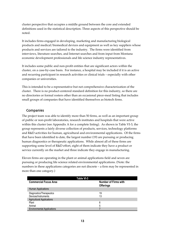cluster perspective that occupies a middle ground between the core and extended definitions used in the statistical description. Three aspects of this perspective should be noted.

It includes firms engaged in developing, marketing and manufacturing biological products and medical/biomedical devices and equipment as well as key suppliers whose products and services are tailored to the industry. The firms were identified from interviews, literature searches, and Internet searches and from input from Montana economic development professionals and life science industry representatives.

It includes some public and non-profit entities that are significant actors within the cluster, on a case-by-case basis. For instance, a hospital may be included if it is an active and recurring participant in research activities or clinical trials – especially with other companies or universities.

This is intended to be a representative but not comprehensive characterization of the cluster. There is no product-centered standard definition for this industry, so there are no directories or formal rosters other than an occasional piece-meal listing that includes small groups of companies that have identified themselves as biotech firms.

#### 1. Companies

The project team was able to identify more than 50 firms, as well as an important group of public or non-profit laboratories, research institutes and hospitals that were active within this cluster (see Appendix A for a complete listing). As shown in Table VI-3, the group represents a fairly diverse collection of products, services, technology platforms and R&D activities for human, agricultural and environmental applications. Of the firms that have been identified to date, the largest number (19) are pursuing or producing human diagnostics or therapeutic applications. While almost all of these firms are supporting some level of R&D effort, eight of them indicate they have a product or service currently on the market and three indicate they engage in manufacturing.

Eleven firms are operating in the plant or animal applications field and seven are pursuing or producing life science related environmental applications. (Note: the numbers in these applications categories are not discrete – a firm may be represented in more than one category.)

| Table VI-3                        |                                                 |  |  |
|-----------------------------------|-------------------------------------------------|--|--|
| <b>Commercial Focus Area</b>      | <b>Number of Firms with</b><br><b>Offerings</b> |  |  |
| Human Applications                |                                                 |  |  |
| Diagnostics/Therapeutics          | 19                                              |  |  |
| Devices/Instruments               | 13                                              |  |  |
| <b>Agricultural Applications</b>  |                                                 |  |  |
| Plant                             | 6                                               |  |  |
| Animal                            | 5                                               |  |  |
| <b>Environmental Applications</b> |                                                 |  |  |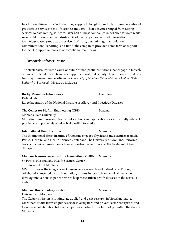In addition, fifteen firms indicated they supplied biological products or life-science-based products or services to the life sciences industry. Their activities ranged from testing services to data mining software. Over half of these companies (nine) offer services while seven sold products to the industry. Six of the companies featured information technology-based products or services (software, data mining/manipulation, communications/reporting) and five of the companies provided some form of support for the FDA approval process or compliance monitoring.

#### 2. Research Infrastructure

The cluster also features a cadre of public or non-profit institutions that engage in biotech or biomed-related research and/or support clinical trial activity. In addition to the state's two major research universities *– the University of Montana (Missoula) and Montana State University (Bozeman),* this group includes:

#### Rocky Mountain Laboratories **Hamilton** !

Federal lab Large laboratory of the National Institute of Allergy and Infectious Diseases

#### **The Center for Biofilm Engineering (CBE)** Bozeman

Montana State University

Multidisciplinary research teams find solutions and applications for industrially relevant problems and potentials of microbial bio-film formation

#### **International Heart Institute Missoula**

The International Heart Institute of Montana engages physicians and scientists from St. Patrick Hospital and Health Sciences Center and The University of Montana. Performs basic and clinical research on advanced cardiac procedures and the treatment of heart disease.

#### **Montana Neuroscience Institute Foundation (MNIF)** Missoula

St. Patrick Hospital and Health Sciences Center

The University of Montana

MNIF promotes the integration of neuroscience research and patient care. Through collaboration fostered by the Foundation, experts in research and clinical medicine develop innovations in patient care to help those afflicted with diseases of the nervous system.

#### **Montana Biotechnology Center** Missoula

University of Montana

The Center's mission is to stimulate applied and basic research in biotechnology, to coordinate efforts between public sector investigators and private sector enterprises and to increase collaboration between all parties involved in biotechnology within the state of Montana.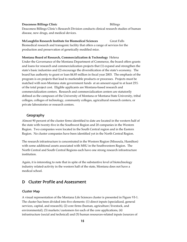#### **Deaconess Billings Clinic** Billings

Deaconess Billings Clinic's Research Division conducts clinical research studies of human disease, new drugs, and medical devices.

**McLaughlin Research Institute for Biomedical Sciences** Great Falls Biomedical research and transgenic facility that offers a range of services for the production and preservation of genetically modified mice.

#### **Montana Board of Research, Commercialization & Technology** Helena

Under the Governance of the Montana Department of Commerce, the board offers grants and loans for research and commercialization projects that (1) expand and strengthen the state's basic industries and (2) encourage the diversification of the state's economy. The board has authority to grant or loan \$4.85 million in fiscal year 2003. The emphasis of the program is on projects that lead to marketable products or processes. Projects must be matched with non-Montana state government funds at an amount equal to at least 25% of the total project cost. Eligible applicants are Montana-based research and commercialization centers. Research and commercialization centers are statutorily defined as the campuses of the University of Montana or Montana State University, tribal colleges, colleges of technology, community colleges, agricultural research centers, or private laboratories or research centers.

#### 3. Geography

Almost 90 percent of the cluster firms identified to date are located in the western half of the state with twenty-five in the Southwest Region and 20 companies in the Western Region. Two companies were located in the South Central region and in the Eastern Region. No cluster companies have been identified yet in the North Central Region.

The research infrastructure is concentrated in the Western Region (Missoula, Hamilton) with some additional assets associated with MSU in the Southwestern Region. The North Central and South Central Regions each have one strong research infrastructure institution.

Again, it is interesting to note that in spite of the substantive level of biotechnology industry related-activity in the western half of the state, Montana does not have a medical school.

## D. Cluster Profile and Assessment

#### Cluster Map

A visual representation of the Montana Life Sciences cluster is presented in Figure VI-1. The cluster has been divided into five elements: (1) direct inputs (specialized, general services, capital, and research), (2) core firms (human, agriculture/livestock, and environmental), (3) markets/customers for each of the core applications, (4) infrastructure (social and technical) and (5) human resources-related inputs (sources of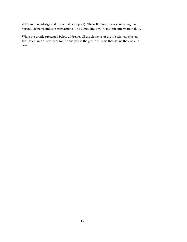skills and knowledge and the actual labor pool). The solid line arrows connecting the various elements indicate transactions. The dotted line arrows indicate information flow.

While the profile presented below addresses all the elements of the life sciences cluster, the basic frame of reference for the analysis is the group of firms that define the cluster's core.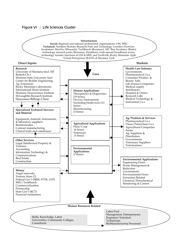#### Figure VI-1: Life Sciences Cluster

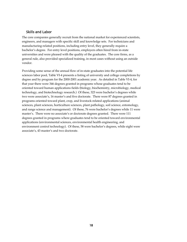#### 1. Skills and Labor

The core companies generally recruit from the national market for experienced scientists, engineers, and managers with specific skill and knowledge sets. For technicians and manufacturing-related positions, including entry level, they generally require a bachelor's degree. For entry level positions, employers often hired from in-state universities and were pleased with the quality of the graduates. The core firms, as a general rule, also provided specialized training, in most cases without using an outside vendor.

Providing some sense of the annual flow of in-state graduates into the potential life sciences labor pool, Table VI-4 presents a listing of university and college completions by degree and by program for the 2000-2001 academic year. As detailed in Table VI-4, for that year there were 346 degrees granted in programs whose graduates tend to be oriented toward human applications fields (biology, biochemistry, microbiology, medical technology, and biotechnology research.) Of these, 323 were bachelor's degrees while two were associate's, 16 master's and five doctorate. There were 87 degrees granted in programs oriented toward plant, crop, and livestock-related applications (animal sciences, plant sciences, horticulture sciences, plant pathology, soil science, entomology, and range science and management). Of these, 76 were bachelor's degrees while 11 were master's. There were no associate's or doctorate degrees granted. There were 111 degrees granted in programs where graduates tend to be oriented toward environmental applications (environmental sciences, environmental health engineering, and environment control technology). Of these, 58 were bachelor's degrees, while eight were associate's, 43 master's and two doctorate.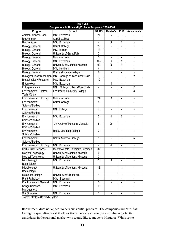| <b>Table VI-4</b><br>Completions in University/College Programs, 2000-2001 |                                                               |                 |                          |                          |                          |
|----------------------------------------------------------------------------|---------------------------------------------------------------|-----------------|--------------------------|--------------------------|--------------------------|
| Program                                                                    | School                                                        | <b>BA/BS</b>    | Master's                 | <b>PhD</b>               | Associate's              |
| Animal Sciences, Gen.                                                      | MSU-Bozeman                                                   | 24              | 6                        |                          |                          |
| Biochemistry                                                               | Carroll College                                               | 1               | ÷,                       | ä,                       | $\overline{\phantom{a}}$ |
| Biochemistry                                                               | MSU-Bozeman                                                   |                 | 3                        | 1                        |                          |
| Biology, General                                                           | Carroll College                                               | 25              |                          |                          |                          |
| Biology, General                                                           | MSU-Billings                                                  | 13              |                          |                          |                          |
| Biology, General                                                           | University of Great Falls                                     | $\overline{3}$  |                          |                          |                          |
| Biology, General                                                           | Montana Tech                                                  | 5               |                          |                          |                          |
| Biology, General                                                           | MSU-Bozeman                                                   | 105             | 6                        | 1                        |                          |
| Biology, General                                                           | University of Montana-Missoula                                | 90              | 3                        | $\overline{3}$           |                          |
| Biology, General                                                           | MSU-Northern                                                  | $\overline{4}$  | $\frac{1}{2}$            |                          |                          |
| Biology, General                                                           | Rocky Mountain College                                        | 8               | $\blacksquare$           | $\overline{\phantom{a}}$ | $\blacksquare$           |
|                                                                            | Biological Tech/Technician   MSU, College of Tech-Great Falls |                 | $\overline{\phantom{a}}$ | $\overline{\phantom{a}}$ | $\overline{2}$           |
| <b>Biotechnology Research</b>                                              | MSU-Bozeman                                                   | 12              | ä,                       | $\overline{\phantom{a}}$ | $\overline{\phantom{a}}$ |
| Entomology                                                                 | MSU-Bozeman                                                   |                 | 4                        | $\overline{\phantom{a}}$ | $\overline{\phantom{0}}$ |
| Entrepreneurship                                                           | MSU, College of Tech-Great Falls                              | 4               | $\overline{\phantom{0}}$ |                          | 7                        |
| <b>Environmental Control</b><br>Tech, Others                               | Fort Peck Community College                                   |                 |                          |                          | $\overline{3}$           |
| Environmental Hith Eng.                                                    | Montana Tech                                                  | 24              | 9                        | $\overline{\phantom{a}}$ |                          |
| Environmental                                                              | Carroll College                                               | $\overline{4}$  |                          |                          |                          |
| Science/Studies                                                            |                                                               |                 |                          |                          |                          |
| Environmental                                                              | <b>MSU-Billings</b>                                           | 10              | $\overline{\phantom{0}}$ | $\overline{\phantom{a}}$ |                          |
| Science/Studies                                                            |                                                               |                 |                          |                          |                          |
| Environmental                                                              | MSU-Bozeman                                                   | $\overline{3}$  | 4                        | $\overline{2}$           |                          |
| Science/Studies                                                            |                                                               |                 |                          |                          |                          |
| Environmental                                                              | University of Montana-Missoula                                | 5               | 26                       |                          |                          |
| Science/Studies                                                            |                                                               |                 |                          |                          |                          |
| Environmental                                                              | Rocky Mountain College                                        | 3               |                          |                          |                          |
| Science/Studies                                                            |                                                               |                 |                          |                          |                          |
| Environmental                                                              | Salish Kootenai College                                       | 9               |                          |                          | 5                        |
| Science/Studies                                                            |                                                               |                 |                          |                          |                          |
| Environmental Hlth. Eng.                                                   | MSU-Bozeman                                                   |                 | 4                        |                          |                          |
| <b>Horticulture Sciences</b>                                               | Montana State University-Bozeman                              | $\overline{37}$ | $\overline{\phantom{0}}$ |                          |                          |
| <b>Medical Technology</b>                                                  | University of Montana-Missoula                                | 9               | $\overline{\phantom{0}}$ | $\overline{\phantom{a}}$ |                          |
| <b>Medical Technology</b>                                                  | University of Montana-Missoula                                | $\overline{3}$  | $\blacksquare$           | $\blacksquare$           |                          |
| Microbiology/                                                              | MSU-Bozeman                                                   | 26              | 3                        |                          |                          |
| Bacteriology                                                               |                                                               |                 |                          |                          |                          |
| Microbiology/                                                              | University of Montana-Missoula                                | 18              | $\mathbf{1}$             |                          |                          |
| Bacteriology                                                               |                                                               |                 |                          |                          |                          |
| Molecular Biology                                                          | University of Great Falls                                     | $\mathbf{1}$    |                          |                          |                          |
| Plant Pathology                                                            | MSU-Bozeman                                                   |                 | 1                        |                          |                          |
| Plant Sciences, General                                                    | MSU-Bozeman                                                   | 5               |                          |                          |                          |
| Range Science&<br>Management                                               | MSU-Bozeman                                                   | 9               |                          |                          |                          |
| Soil Sciences                                                              | MSU-Bozeman                                                   | 1               |                          |                          |                          |

Source: Montana University System

Recruitment does not appear to be a substantial problem. The companies indicate that for highly specialized or skilled positions there are an adequate number of potential candidates in the national market who would like to move to Montana. While some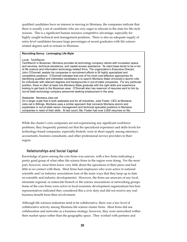qualified candidates have no interest in moving to Montana, the companies indicate that there is usually a set of candidates who are very eager to relocate to the state for life-style reasons. This is a significant human resource competitive advantage, especially for highly sought technical and management positions. There is also an adequate supply of entry-level candidates because large percentages of recent graduates with life sciencerelated degrees seek to remain in Montana.

#### **Recruiting Savvy: Leveraging Life-Style**

#### Local: TechRanch

TechRanch in Bozeman, Montana provides its technology company clients with incubation space and services, technical assistance, and capital access assistance. Its client base tends to be a mix of life science and information technology-related firms. The organization's Executive Director, John O'Donnell, assists his companies in recruitment efforts to fill highly specialized and competitive positions. O'Donnell indicates that one of his most cost-effective approaches for identifying qualified and interested candidates is to search Montana State University's alumni rolls for individuals with relevant degrees and backgrounds in out-of-state companies. For any particular position, there is often at least one Montana State graduate with the right skills and experience looking to get back to the Bozeman area. O'Donnell also has reservoir of resumes sent to him by out-of-state technology company personnel seeking employment in the area.

#### Statewide: Montana-Jobs.net

On a larger scale that is both statewide and for all industries, Julie Foster, CEO at Montana-Jobs.net in Billings, Montana uses a similar approach that connects Montana alumni and expatriates in out-of-state senior management and technical specialist positions to Montana companies in need of their skills. At last count, Ms. Foster had over 2,600 resumes on file.

While the cluster's core companies are not experiencing any significant workforce problems, they frequently pointed out that the specialized experience and skills levels for technology-based companies, especially biotech, were in short supply among attorneys, accountants, business consultants, and other professional service providers in their region.

#### 2. Relationships and Social Capital

Knowledge of peers among the core firms was uneven, with a few firms indicating a pretty good grasp of what other life science firms in the region were doing. For the most part, however, most firms knew very little about the operations of their peers and had little to no contact with them. Most firms had employees who were active in national scientific and/or industry associations (one of the main ways that they keep up to date on scientific and industry developments). However, the firms are unaware of any local, intrastate regional, or statewide biotech or life science associations or networking groups. Some of the core firms were active in local economic development organizations but firm representatives indicated they considered this a civic duty and did not receive any real business benefit from their involvement.

Although life sciences industries tend to be collaborative, there was a low level of collaborative activity among Montana life science cluster firms. Most firms did use collaboration and networks as a business strategy; however, they were networked within their market space rather than the geographic space. They worked with partners and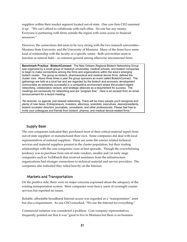suppliers within their market segment located out-of-state. One core firm CEO summed it up: "We can't afford to collaborate with each other. No one has any money. Everyone is partnering with firms outside the region with some access to financial resources."

However, the connections did seem to be very strong with the two research universities – Montana State University and the University of Montana. Many of the firms have some kind of relationship with the faculty or a specific center. Both universities seem to function as natural hubs – as common ground among otherwise unconnected firms.

**Benchmark Practice: BiotechConnect:** The New Orleans Regional Biotech Networking Group was organized by a small group of research universities, medical schools, and biotech companies to begin to make connections among the firms and organizations within the area's emerging biotech cluster. The group as biotech, pharmaceutical and medical device firms, defined the cluster core. About three times a year the group sponsors an event called BiotechConnect. The gatherings are held at a local bar and are regarded by the biotech and economic development communities as extremely successful in a competitive environment where the prudent regard networking, collaborative venture, and strategic alliances as a requirement for success. The meetings are exclusively for networking and are "program free." Here is an excerpt from an email announcement for a recent meeting:

"No lectures, no agenda, just relaxed networking. There will be many people you'll recognize and plenty of new faces: Entrepreneurs, investors, attorneys, scientists, executives, deans/presidents, biotech incubator directors, journalists, consultants, and other professionals. Please feel free to invite your colleagues and friends from biotech, pharma, and medical device-related firms."

#### 3. Supply Base

The core companies indicated they purchased most of their critical material inputs from out-of-state suppliers or manufactured their own. Some companies did deal with local representatives of national suppliers. There are some life science related technical services and material suppliers present in the cluster population, but their trading relationships with the core companies were at best sporadic. Though the overwhelming tendency was to purchase from out-of-state vendors, smaller and/or early stage companies such as TechRanch that received assistance from the infrastructure organizations had stronger connections to technical material and service providers. The companies also indicated they relied heavily on the Internet.

#### 4. Markets and Transportation

On the positive side, there were no major concerns expressed about the adequacy of the existing transportation system. Most companies were heavy users of overnight courier services but reported no issues.

Reliable, affordable broadband Internet access was regarded as a "transportation" asset but also a requirement. As one CEO remarked, "We use the Internet for everything."

Commercial isolation was considered a problem. Core company representatives frequently pointed out that it was "great to live in Montana but there is no business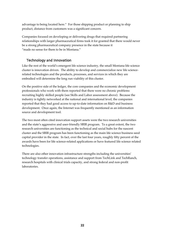advantage to being located here." For those shipping product or planning to ship product, distance from customers was a significant concern.

Companies focused on developing or delivering drugs that required partnering relationships with larger pharmaceutical firms took it for granted that there would never be a strong pharmaceutical company presence in the state because it "made no sense for them to be in Montana."

## 5. Technology and Innovation

Like the rest of the world's emergent life science industry, the small Montana life science cluster is innovation driven. The ability to develop and commercialize new life sciencerelated technologies and the products, processes, and services in which they are embodied will determine the long run viability of this cluster.

On the positive side of the ledger, the core companies and the economic development professionals who work with them reported that there were no chronic problems recruiting highly skilled people (see Skills and Labor assessment above). Because the industry is tightly networked at the national and international level, the companies reported that they had good access to up-to-date information on R&D and business development. Once again, the Internet was frequently mentioned as an information source and development tool.

The two most often cited innovation support assets were the two research universities and the state's aggressive and user-friendly SBIR program. To a great extent, the two research universities are functioning as the technical and social hubs for the nascent cluster and the SBIR program has been functioning as the main life science business seed capital provider in the state. In fact, over the last four years, roughly fifty percent of the awards have been for life science-related applications or have featured life science related technologies.

There are also other innovation infrastructure strengths including the universities' technology transfer operations, assistance and support from TechLink and TechRanch, research hospitals with clinical trials capacity, and strong federal and non-profit laboratories.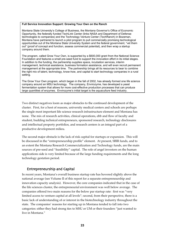#### **Full Service Innovation Support: Growing Your Own on the Ranch**

Montana State University's College of Business, the Montana Governor's Office of Economic Opportunity, the federally funded TechLink Center (links NASA and Department of Defense technologies to companies) and the Technology Venture Center (TechRanch) in Bozeman, Montana have partnered to launch a pilot program to pull commercially promising technological opportunities out of the Montana State University System and the federal government, "vet them out" (proof of concept and function, assess commercial potential), and then wrap a startup company around them.

The program, called Grow Your Own, is supported by a \$600,000 grant from the National Science Foundation and features a small pre-seed fund to support the innovation effort in its initial stages. In addition to the funding, the partnership supplies space, incubation services, interim management, technical assistance, business formation assistance, and will even recruit permanent management at the appropriate time. The partnership brings all its resources to bear to combine the right mix of talent, technology, know-how, and capital to start technology companies in a rural setting.

The Grow Your Own program, which began in the fall of 2002, has already formed one life science company around an MSU technology. The company, Envirozyme, has developed a yeast fermentation system that allows for more cost-effective production processes that can produce large quantities of enzymes. Envirozyme's initial target is the aquaculture feed industry.

Two distinct negatives loom as major obstacles to the continued development of the cluster. First, for a host of reasons, university medical centers and schools are perhaps the single most important life science research infrastructure element and Montana has none. The mix of research activities, clinical operations, ebb and flow of faculty and student, budding technical entrepreneurs, sponsored research, technology disclosures and intellectual property portfolios, and research centers is an integral part of a productive development milieu.

The second major obstacle is the lack of risk capital for startups or expansion. This will be discussed in the "entrepreneurship profile" element. At present, SBIR funds, and to an extent the Montana Research Commercialization and Technology funds, are the main sources of pre-seed and "feasibility" capital. The role of angel investors on the human applications side is very limited because of the large funding requirements and the long technology gestation period.

#### 6. Entrepreneurship and Capital

In recent years, Montana's overall business startup rate has hovered slightly above the national average (see Volume II of this report for a separate entrepreneurship and innovation capacity analysis). However, the core companies indicated that in the case of the life sciences cluster, the entrepreneurial environment was well below average. The companies offered two main reasons for the below par startup rate: first was "very limited access to venture capital at all levels"; second, from their perspective, there is a basic lack of understanding of or interest in the biotechnology industry throughout the state. The companies' reasons for starting up in Montana tended to fall into two categories: either they had strong ties to MSU or UM or their founders "just wanted to live in Montana."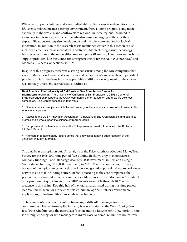While lack of public interest and very limited risk capital access translate into a difficult life science-related business startup environment, there is some progress being made – especially in the western and southwestern regions. In these regions, (as noted in elsewhere in this report) a substantive infrastructure is emerging with capacity to support life science enterprise development and life science-related technological innovation. In addition to the research assets mentioned earlier in this section, it also includes elements such as incubators (TechRanch, Montec), progressive technology transfer operations at the universities, research parks (Bozeman, Hamilton) and technical support providers like the Center for Entrepreneurship for the New West (at MSU) and Montana Business Connections (at UM).

In spite of this progress, there was a strong consensus among the core companies that very limited access to seed and venture capital is the cluster's most acute and persistent problem. In fact, the firms felt any appreciable additional development for the cluster was unlikely unless the capital issue is addressed.

**Best Practice: The University of California at San Francisco's Center for BioEntrepreneurship**: The University of California at San Francisco (UCSF)'s Center of BioEntrepreneurship supports the UCSF community's effort to launch and grow life sciences companies. The Center does this in four ways:

1. Courses on such subjects as intellectual property for life scientists or how to build value in life sciences companies

2. Access to the UCSF Innovation Accelerator – a network of Bay Area scientists and business professionals who support life science entrepreneurship

3. Symposia and conferences such as the Entrepreneur – Investor Interface or the Biotech-InfoTech Summit

4. Frontiers in Biotechnology lecture series that showcases leading edge research at the university-industry interface.

The data bear this opinion out. An analysis of the PricewaterhouseCoopers MoneyTree Survey for the 1996-2001 time period (see Volume II) shows only two life sciences company fundings – one later stage deal (\$500,000 investment) in 1996 and a single "early stage" funding (\$180,000 investment) in 2001. The core companies, primarily because of the typical investment size and the long gestation period did not regard Angel networks as a viable funding source. In fact, according to the core companies, the primary early stage risk-financing source for a life science firm in Montana is the federal SBIR program. A quick inventory of SBIR awards from 1999 through 2002 lends credence to this claim. Roughly half of the total awards listed during this time period (see Volume II) were for life science-related human, agricultural, or environmental applications, or featured life science related technology.

To be sure, routine access to venture financing is difficult to manage for most communities. The venture capital industry is concentrated on the West Coast (a San Jose/Palo Alto hub) and the East Coast (Boston and to a lesser extent, New York). There is a strong tendency for fund managers to invest close to home (within two hours travel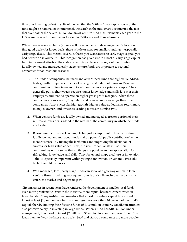time of originating office) in spite of the fact that the "official" geographic scope of the fund might be national or international. Research in the mid-1990s documented the fact that over half of the several billion dollars of venture fund disbursements each year in the U.S. were invested in companies located in California and Massachusetts.

While there is some mobility (money will travel outside of its management's location to find good deals) for larger deals, there is little or none for smaller fundings—especially early stage deals. This means, as a rule, that if you want access to early stage capital, you had better "do it yourself." This recognition has given rise to a host of early stage capital fund inducement efforts at the state and municipal levels throughout the country. Locally owned and managed early stage venture funds are important to regional economies for at least four reasons:

- 1. The kinds of companies that need and attract these funds are high value-added, high-growth companies capable of raising the standard of living in Montana communities. Life science and biotech companies are a prime example. They generally pay higher wages, require higher knowledge and skills levels of their employees, and tend to operate on higher gross profit margins. When these companies are successful, they retain and reinvest more earnings than other companies. Also, successful high growth, higher value-added firms return more money to owners and investors, leading to reason number two.
- 2. When venture funds are locally owned and managed, a greater portion of their returns to investors is added to the wealth of the community in which the funds are located.
- 3. Reason number three is less tangible but just as important. These early stage, locally owned and managed funds make a powerful public contribution by their mere existence. By fueling the birth rates and improving the likelihood of success for high value-added firms, the venture capitalists infuse their communities with a sense that all things are possible and an appreciation for risk-taking, knowledge, and skill. They foster and shape a culture of innovation – this is especially important within younger innovation-driven industries like biotech and life sciences.
- 4. Well-managed, local, early stage funds can serve as a gateway or link to larger venture firms, providing subsequent rounds of risk financing as the company enters the market and begins to grow.

Circumstances in recent years have rendered the development of smaller local funds even more problematic. Within the industry, more capital has been concentrated in fewer hands.! Many institutional investors that invest in venture capital funds want to invest at least \$10 million in a fund and represent no more than 10 percent of the fund's capital, thereby limiting their focus to funds of \$100 million or more.! Smaller institutions also perceive safety in investing in large funds.! When a fund has \$100 million under management, they need to invest \$2 million to \$5 million in a company over time.! This leads them to favor the later stage deals.! Seed and start-up companies are more people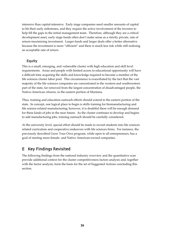intensive than capital-intensive.! Early stage companies need smaller amounts of capital to hit their early milestones, and they require the active involvement of the investor to help fill the gaps in the initial management team. Therefore, although they are a critical development asset, early stage funds often don't make sense as a strictly private, rate of return-maximizing investment. Larger funds and larger deals offer a better alternative because the investment is more "efficient" and there is much less risk while still realizing an acceptable rate of return.

### 7. Equity

This is a small, emerging, and vulnerable cluster with high education and skill level requirements. Areas and people with limited access to educational opportunity will have a difficult time acquiring the skills and knowledge required to become a member of the life sciences cluster labor pool. This circumstance is exacerbated by the fact that the vast majority of the life sciences companies are concentrated in the western and southwestern part of the state, far removed from the largest concentration of disadvantaged people, the Native-American citizens, in the eastern portion of Montana.

Thus, training and education outreach efforts should extend to the eastern portion of the state. In concept, one logical place to begin is skills training for biomanufacturing and life science-related manufacturing; however, it is doubtful there will be enough demand for these kinds of jobs in the near future. As the cluster continues to develop and begins to add manufacturing jobs, training outreach should be carefully considered.

At the university level, special effort should be made to recruit students into life sciences related curriculum and cooperative endeavors with life sciences firms. For instance, the previously described Grow Your Own program, while open to all entrepreneurs, has a goal of starting more female- and Native American-owned companies.

# E. Key Findings Revisited

The following findings from the national industry overview and the quantitative scan provide additional context for the cluster competitiveness factors analysis and, together with the factor analysis, form the basis for the set of Suggested Actions concluding this section.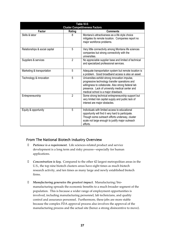| Table VI-5:<br><b>Cluster Competitiveness Factors</b> |                |                                                                                                                                                                                                                                                    |  |  |  |
|-------------------------------------------------------|----------------|----------------------------------------------------------------------------------------------------------------------------------------------------------------------------------------------------------------------------------------------------|--|--|--|
| Factor<br><b>Comments</b><br>Rating                   |                |                                                                                                                                                                                                                                                    |  |  |  |
| Skills & labor                                        | 8              | Montana's attractiveness as a life style choice<br>mitigates its remote location. Companies report no<br>major workforce problems.                                                                                                                 |  |  |  |
| Relationships & social capital                        | 5              | Very little connectivity among Montana life sciences<br>companies but strong connectivity with the<br>universities.                                                                                                                                |  |  |  |
| Suppliers & services                                  | $\mathfrak{p}$ | No appreciable supplier base and limited of technical<br>and specialized professional services.                                                                                                                                                    |  |  |  |
| Marketing & transportation                            | 5              | Adequate transportation system but remote location is<br>a problem. Good broadband access is also an asset.                                                                                                                                        |  |  |  |
| Technology & innovation                               | 5              | Universities exhibit strong innovation impulse,<br>progressive technology transfer operations and<br>willingness to collaborate. Also strong federal lab<br>presence. Lack of university medical center and<br>medical school is a major drawback. |  |  |  |
| Entrepreneurship                                      | $\overline{2}$ | Some strong technical entrepreneurship support but<br>very limited risk capital supply and public lack of<br>interest are major obstacles.                                                                                                         |  |  |  |
| Equity & opportunity                                  | 5              | Individuals with limited access to educational<br>opportunity will find it very hard to participate.<br>Though some outreach efforts underway, cluster<br>scale not large enough to justify major outreach<br>efforts.                             |  |  |  |

#### 1. From The National Biotech Industry Overview

- **•** Patience is a requirement. Life sciences-related product and service development is a long term and risky process—especially for human applications.
- **Concentration is key.** Compared to the other 42 largest metropolitan areas in the U.S., the top nine biotech clusters areas have eight times as much biotech research activity, and ten times as many large and newly established biotech firms.
- **Manufacturing generates the greatest impact.** Manufacturing/biomanufacturing spreads the economic benefits to a much broader segment of the population. This is because a wider range of employment opportunities is involved, including manufacturing personnel, lab technicians, and quality control and assurance personnel. Furthermore, these jobs are more stable because the complex FDA approval process also involves the approval of the manufacturing process and the actual site (hence a strong disincentive to move).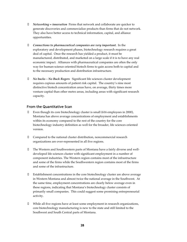- ß *Networking = innovation* Firms that network and collaborate are quicker to generate discoveries and commercialize products than firms that do not network. They also have better access to technical information, capital, and alliance opportunities.
- ß *Connections to pharmaceutical companies are very important.* In the exploratory and development phases, biotechnology research requires a great deal of capital. Once the research has yielded a product, it must be manufactured, distributed, and marketed on a large scale if it is to have any real economic impact. Alliances with pharmaceutical companies are often the only way for human-science oriented biotech firms to gain access both to capital and to the necessary production and distribution infrastructure.
- ß *No bucks No Buck Rogers* Significant life sciences cluster development requires copious amounts of patient risk capital. The country's nine most distinctive biotech concentration areas have, on average, thirty times more venture capital than other metro areas, including areas with significant research capacity.

#### 2. From the Quantitative Scan

- ß Even though its core biotechnology cluster is small (616 employees in 2000), Montana has above average concentrations of employment and establishments within its economy compared to the rest of the country for the core biotechnology industry definition as well for the broader, life sciences oriented version.
- ß Compared to the national cluster distribution, noncommercial research organizations are over-represented in all five regions.
- ß The Western and Southwestern parts of Montana have a fairly diverse and welldeveloped life sciences cluster with significant employment in a number of component industries. The Western region contains most of the infrastructure and some of the firms while the Southwestern region contains most of the firms and some of the infrastructure.
- ß Establishment concentrations in the core biotechnology cluster are above average in Western Montana and almost twice the national average in the Southwest. At the same time, employment concentrations are clearly below average even in these regions, indicating that Montana's biotechnology cluster consists of primarily small companies. This could suggest some promising entrepreneurial activity.
- While all five regions have at least some employment in research organizations, core biotechnology manufacturing is new to the state and still limited to the Southwest and South Central parts of Montana.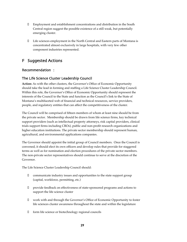- ß Employment and establishment concentrations and distribution in the South Central region suggest the possible existence of a still weak, but potentially emerging cluster.
- Life sciences employment in the North Central and Eastern parts of Montana is concentrated almost exclusively in large hospitals, with very few other component industries represented.

# F. Suggested Actions

#### Recommendation 1:

## The Life Science Cluster Leadership Council

**Action:** As with the other clusters, the Governor's Office of Economic Opportunity should take the lead in forming and staffing a Life Science Cluster Leadership Council. Within this role, the Governor's Office of Economic Opportunity should represent the interests of the Council to the State and function as the Council's link to the State of Montana's multifaceted web of financial and technical resources, service providers, people, and regulatory entities that can affect the competitiveness of the cluster.

The Council will be comprised of fifteen members of whom at least nine should be from the private sector. Membership should be drawn from life science firms, key technical support providers (such as intellectual property attorneys, risk capital providers, clinical trials support firms including CROs), public and non-profit research organizations and higher education institutions. The private sector membership should represent human, agricultural, and environmental applications companies.

The Governor should appoint the initial group of Council members. Once the Council is convened, it should elect its own officers and develop rules that provide for staggered terms as well as for nomination and election procedures of the private sector members. The non-private sector representatives should continue to serve at the discretion of the Governor.

The Life Science Cluster Leadership Council should:

- ß communicate industry issues and opportunities to the state support group (capital, workforce, permitting, etc.)
- ß provide feedback on effectiveness of state-sponsored programs and actions to support the life science cluster
- ß work with and through the Governor's Office of Economic Opportunity to foster life sciences cluster awareness throughout the state and within the legislature
- ß form life science or biotechnology regional councils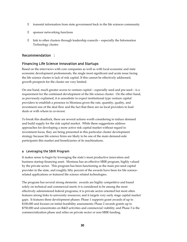- **•** transmit information from state government back to the life sciences community
- sponsor networking functions
- link to other clusters through leadership councils especially the Information Technology cluster.

#### Recommendation 2:

#### Financing Life Science Innovation and Startups

Based on the interviews with core companies as well as with local economic and state economic development professionals, the single most significant and acute issue facing the life science cluster is lack of risk capital. If this cannot be effectively addressed, growth prospects for the cluster are very limited.

On one hand, much greater access to venture capital – especially seed and pre-seed – is a requirement for the continued development of the life science cluster. On the other hand, as previously explained, it is unrealistic to expect institutional type venture capital providers to establish a presence in Montana given the rate, quantity, quality, and investment size of the deal flow and the fact that there are no local providers to lead deals or with whom to co-invest.

To break this deadlock, there are several actions worth considering to induce demand and build supply for the risk capital market. While these suggestions address approaches for developing a more active risk capital market without regard to investment focus, they are being presented in this particular cluster development strategy because life science firms are likely to be one of the main demand-side participants this market and beneficiaries of its machinations.

#### a. Leveraging the SBIR Program

It makes sense to begin by leveraging the state's most productive innovation and business startup financing asset. Montana has an effective SBIR program, highly valued by the private sector. This program has been functioning as the main pre-seed capital provider in the state, and roughly fifty percent of the awards have been for life sciencerelated applications or featured life science related technologies.

The program has several strong elements: awards are highly competitive and based solely on technical and commercial merit; it is considered to be among the most effectively administered federal programs; it is private sector oriented but most often features strong links to university resources; and it targets very early stage capital market gaps. It features three development phases: Phase 1 supports grant awards of up to \$100,000 and focuses on initial feasibility assessments; Phase 2 awards grants up to \$750,000 and concentrates on R&D activities and commercial viability; and Phase 3 is the commercialization phase and relies on private sector or non-SBIR funding.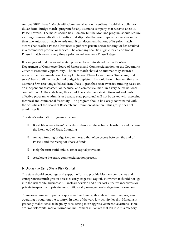**Action:** SBIR Phase 1 Match with Commercialization Incentives: Establish a dollar for dollar SBIR "bridge match" program for any Montana company that receives an SBIR Phase 1 award. The match should be automatic but the Montana program should feature a strong commercialization incentive that stipulates that no company can receive more than two automatic match awards until it can document that one of its prior match awards has reached Phase 3 (attracted significant private sector funding) or has resulted in a commercial product or service. The company shall be eligible for an additional Phase 1 match award every time a prior award reaches a Phase 3 stage.

It is suggested that the award match program be administered by the Montana Department of Commerce (Board of Research and Commercialization) or the Governor's Office of Economic Opportunity. The state match should be automatically awarded upon proper documentation of receipt of federal Phase 1 award on a "first come, first serve" basis until the match fund budget is depleted. It should be emphasized that any Montana firm receiving a federal SBIR Phase 1 grant has been awarded funding based on an independent assessment of technical and commercial merit in a very active national competition. At the state level, this should be a relatively straightforward and costeffective program to administer because state personnel will not be tasked with assessing technical and commercial feasibility. The program should be closely coordinated with the activities of the Board of Research and Commercialization if this group does not administer it.

The state's automatic bridge match should:

- ß Boost life science firms' capacity to demonstrate technical feasibility and increase the likelihood of Phase 2 funding
- Act as a funding bridge to span the gap that often occurs between the end of Phase 1 and the receipt of Phase 2 funds
- Help the firm build links to other capital providers
- Accelerate the entire commercialization process.

#### b. Access to Early Stage Risk Capital

The state should encourage and support efforts to provide Montana companies and entrepreneurs much greater access to early stage risk capital. However, it should not "go into the risk capital business" but instead develop and offer cost-effective incentives for private for-profit and private non-profit, locally managed early stage fund formation.

There are a number of publicly sponsored venture capital-related incentive programs operating throughout the country. In view of the very low activity level in Montana, it probably makes sense to begin by considering more aggressive incentive actions. Here are two risk capital market formation inducement initiatives that fall into this category.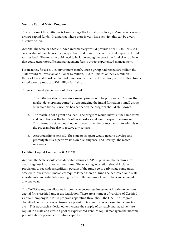#### **Venture Capital Match Program**

The purpose of this initiative is to encourage the formation of local*, professionally managed venture* capital funds. In a market where there is very little activity, this can be a very effective action.

**Action**: The State or a State-funded intermediary would provide a "set" 2 to 1 or 3 to 1 co-investment match once the prospective fund organizers had reached a specified fund raising level. The match would need to be large enough to boost the fund size to a level that could generate sufficient management fees to attract experienced management.

For instance, for a 2 to 1 co-investment match, once a group had raised \$10 million the State would co-invest an additional \$5 million. A 3 to 1 match at the \$7.5 million threshold would boost capital under management to the \$10 million, or \$15 million funds raised would produce a \$20 million fund size.

Three additional elements should be stressed.

- 1. This initiative should contain a sunset provision. The purpose is to "prime the market development pump" by encouraging the initial formation a small group of in-state funds. Once this has happened the program should shut down.
- 2. The match is not a grant or a loan. The program would invest at the same terms and conditions as the fund's other investors and would expect the same return. This means the state would not only need an entity or mechanism to administer the program but also to receive any returns.
- 3. Accountability is critical. The state or its agent would need to develop and promulgate rules, perform its own due diligence, and "certify" the match recipients.

#### **Certified Capital Companies (CAPCO)**

**Action:** The State should consider establishing a CAPCO program that features tax credits against insurance tax premiums. The enabling legislation should include provisions to set aside a significant portion of the funds go to early stage companies, accelerate investment timetables; require larger shares of funds be dedicated to in-state investments; and establish a ceiling on the dollar amount of credit that can be issued in any one year.

The CAPCO program allocates tax credits to encourage investment in private venture capital firms certified under the legislation. There are a number of versions of Certified Capital Company (CAPCO) programs operating throughout the U.S. The program described below focuses on insurance premium tax credits (as opposed to income tax, etc.). This approach is designed to increase the supply of privately managed venture capital in a state and create a pool of experienced venture capital managers that become part of a state's permanent venture capital infrastructure.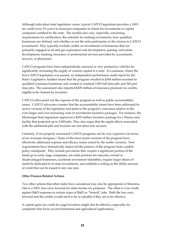Although individual state legislation varies, typical CAPCO legislation provides a 100% tax credit (over 10 years) to insurance companies in return for investments in capital companies certified by the state. The models also vary, especially concerning requirements for certification, the schedule for making investments, how qualified businesses are defined, and whether or not the state participates in the returns to CAPCO investments. They typically exclude credits on investments in businesses that are primarily engaged in oil and gas exploration and development, gaming, real-estate development, banking, insurance or professional services provided by accountants, lawyers, or physicians.

CAPCO programs have been independently assessed as very productive vehicles for significantly increasing the supply of venture capital in a state. In Louisiana, where the first CAPCO legislation was passed, an independent performance audit report by the State's Legislative Auditor found that the program resulted in \$184 million invested in qualified Louisiana businesses and created or retained 3,503 full time jobs and 543 part time jobs. The assessment also reported \$205 million of insurance premium tax credits eligible to be claimed by investors.

CAPCO critics point out the expense of the program as well as public accountability issues. CAPCO advocates counter that the accountability issues have been addressed by newer versions of the legislation and point to the program's outcomes relative to the even larger and ever-increasing costs of recruitment incentive packages. For instance, the Mississippi State legislature approved a \$295 million incentive package for a Nissan auto facility that projected up to 3,000 jobs. They also argue that the ripple effects associated with the additional jobs and incomes are not taken into account.

Certainly, if not properly structured, CAPCO programs can be very expensive (in terms of tax revenues foregone.) Some of the most recent versions of the program have effectively addressed expense and efficacy issues raised by the earlier versions. New requirements have dramatically improved the potency of the program from a public policy standpoint. They include provisions that: require a significant portion of the funds go to early stage companies, set-aside portions for minority-owned or disadvantaged businesses, accelerate investment timetables, require larger shares of funds be dedicated to in-state investments, and establish a ceiling on the dollar amount of credit that can be issued in any one year.

#### **Other Finance-Related Actions**

Two other actions that other states have considered may also be appropriate in Montana. One is a 100% loss carry forward for state income tax purposes. The other is a tax credit against R&D expenses or certain types of R&D or "biotech" jobs. Both the loss carry forward and the credits would need to be re-saleable if they are to be effective.

A capital gains tax credit for angel investors might also be effective, especially for companies that focus on environmental and agricultural applications.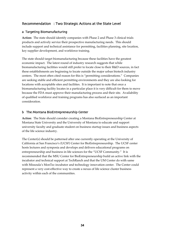## Recommendation 3: Two Strategic Actions at the State Level

#### a. Targeting Biomanufacturing

**Action:** The state should identify companies with Phase 2 and Phase 3 clinical trials products and actively service their prospective manufacturing needs. This should include support and technical assistance for permitting, facilities planning, site location, key supplier development, and workforce training.

The state should target biomanufacturing because these facilities have the greatest economic impact. The latest round of industry research suggests that while biomanufacturing facilities would still prefer to locate close to their R&D sources, in fact these establishments are beginning to locate outside the major urban biotech industry centers. The most often cited reason for this is "permitting considerations." Companies are seeking stable and efficient permitting environments and they are also looking for locations with acceptable sites and facilities. It is important to note that once a biomanufacturing facility locates in a particular place it is very difficult for them to move because the FDA must approve their manufacturing process and their site. Availability of qualified workforce and training programs has also surfaced as an important consideration.

#### b. The Montana BioEntrepreneurship Center

**Action**: The State should consider creating a Montana BioEntrepreneurship Center at Montana State University and the University of Montana to educate and support university faculty and graduate student on business startup issues and business aspects of the life science industry.

The Center(s) should be patterned after one currently operating at the University of California at San Francisco's (UCSF) Center for BioEntrepreneurship. The UCSF center hosts lectures and symposia and develops and delivers educational programs on entrepreneurship and business in life sciences for the "UCSF Community." It is recommended that the MSU Center for BioEntrepreneurship build an active link with the incubator and technical support at TechRanch and that the UM Center do with same with Missoula's MonTec incubator and technology innovation center. The Center could represent a very cost-effective way to create a nexus of life science cluster business activity within each of the communities.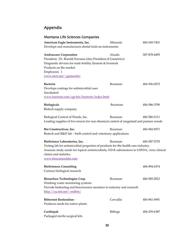# Appendix

# Montana Life Sciences Companies

| American Eagle Instruments, Inc.                                                            | Missoula        | 406-549-7451 |
|---------------------------------------------------------------------------------------------|-----------------|--------------|
| Develops and manufactures dental tools an instruments                                       |                 |              |
| <b>Androscore Corporation</b>                                                               | Alzada          | 307-878-4495 |
| President: Dr. Ronald Ericsson (also President of Gametrics)                                |                 |              |
| Diagnostic devices for male fertility (human & livestock                                    |                 |              |
| Products on the market                                                                      |                 |              |
| Employees: 1                                                                                |                 |              |
| www.mcn.net/~gamandro                                                                       |                 |              |
| <b>Bacterin</b>                                                                             | Bozeman         | 406-556-0272 |
| Develops coatings for antimicrobial uses                                                    |                 |              |
| (incubator)                                                                                 |                 |              |
| www.bacterin.com/cgi-bin/bacterin/index.html                                                |                 |              |
| <b>Biologicals</b>                                                                          | Bozeman         | 406-586-3790 |
| Biotech supply company                                                                      |                 |              |
| Biological Control of Weeds, Inc.                                                           | Bozeman         | 406-586-5111 |
| Leading supplier of live insects for non-chemical control of rangeland and pasture weeds    |                 |              |
| Bio Constructives, Inc.                                                                     | Bozeman         | 406-582-8571 |
| Biotech and R&D lab - birth control and veterinary applications                             |                 |              |
| BioScience Laboratories, Inc.                                                               | Bozeman         | 406-587-5735 |
| Testing lab for antimicrobial properties of products for the health care industry.          |                 |              |
| Assesses study needs for topical antimicrobials, 510-K submissions to USFDA, virus clinical |                 |              |
| claims and statistics                                                                       |                 |              |
| www.biosciencelabs.com                                                                      |                 |              |
| <b>BioSciences Consulting</b>                                                               |                 | 406-994-6374 |
| Contract biological research                                                                |                 |              |
| Biosurface Technologies Corp.                                                               | Bozeman         | 406-585-2812 |
| Drinking water monitoring systems                                                           |                 |              |
| Provide biofouling and biocorrosion monitors to industry and research                       |                 |              |
| http://cu.imt.net/~mitbst/                                                                  |                 |              |
| <b>Bitterroot Restoration -</b>                                                             | Corvallis       | 406-961-4991 |
| Produces seeds for native plants                                                            |                 |              |
| Cardiopak                                                                                   | <b>Billings</b> | 406-259-6387 |
| Packaged sterile surgical kits                                                              |                 |              |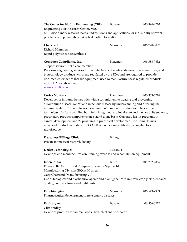| The Center for Biofilm Engineering (CBE)                                                       | Bozeman         | 406-994-4770 |
|------------------------------------------------------------------------------------------------|-----------------|--------------|
| Engineering NSF Research Center, MSU                                                           |                 |              |
| Multidisciplinary research teams find solutions and applications for industrially relevant     |                 |              |
| problems and potentials of microbial biofilm formation                                         |                 |              |
| ChelaTech                                                                                      | Missoula        | 406-728-5897 |
| Richard Hammen                                                                                 |                 |              |
| Rapid polynucleotide synthesis                                                                 |                 |              |
| Computer Compliance, Inc.                                                                      | Bozeman         | 406-388-7832 |
| Support service - not a core member                                                            |                 |              |
| Performs engineering services for manufacturers of medical devices, pharmaceuticals, and       |                 |              |
| biotechnology products which are regulated by the FDA and are required to provide              |                 |              |
| documented evidence that the equipment used to manufacture these regulated products            |                 |              |
| meet FDA specifications.                                                                       |                 |              |
| www.ccionline.com                                                                              |                 |              |
| Corixa Montana                                                                                 | Hamilton        | 406-363-6214 |
| Developer of immunotherapeutics with a commitment to treating and preventing                   |                 |              |
| autoimmune disease, cancer and infectious disease by understanding and directing the           |                 |              |
| immune system. Corixa is focused on immunotherapeutic products and has a broad                 |                 |              |
| technology platform enabling both fully integrated vaccine design and the use of its separate, |                 |              |
| proprietary product components on a stand-alone basis. Currently has 16 programs in            |                 |              |
| clinical development and 22 programs in preclinical development, including its most            |                 |              |
| advanced product candidate, BEXXAR®, a monoclonal antibody conjugated to a                     |                 |              |
| radioisotope.                                                                                  |                 |              |
| Deaconess Billings Clinic                                                                      | <b>Billings</b> |              |
| Private biomedical research facility                                                           |                 |              |
| <b>Deden Technologies</b>                                                                      | Missoula        |              |
| Develops and manufactures core training exercise and rehabilitation equipment                  |                 |              |
|                                                                                                |                 |              |
| <b>Emerald Bio</b>                                                                             | <b>Butte</b>    | 406-782-2386 |
| Emerald BioAgricultural Company (formerly Mycotech)                                            |                 |              |
| Manufacturing Division (HQ in Michigan)                                                        |                 |              |
| Gary Chatriand (Manufacturing VP)                                                              |                 |              |
| Use of biological and biochemical agents and plant genetics to improve crop yields, enhance    |                 |              |
| quality, combat disease and fight pests                                                        |                 |              |
| Endobiologics                                                                                  | Missoula        | 406-543-7909 |
| Pharmaceutical development to treat enteric diseases                                           |                 |              |
| Envirozyme                                                                                     | Bozeman         | 406-556-0272 |
| <b>Cliff Bradley</b>                                                                           |                 |              |
| Develops products for animal foods - fish, chickens (incubator)                                |                 |              |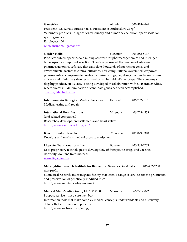**Gametrics** Communication Communication and Communication and Alzeda 307-878-4494 President: Dr. Ronald Ericsson (also President of Androsdore Corp.) Veterinary products – diagnostics, veterinary and human sex selection, sperm isolation, sperm genetics Employees: 20 www.mcn.net/~gamandro

**Golden Helix** Bozeman 406-585-8137 Produces subject specific, data mining software for pharmacogenomics and intelligent, target-specific compound selection. The firm pioneered the creation of advanced pharmacogenomics software that can relate thousands of interacting genes and environmental factors to clinical outcomes. This computational system will empower pharmaceutical companies to create customized drugs, i.e., drugs that render maximum efficacy and minimize side effects based on an individual's genotype. The company's flagship product, **HelixTree**, is being developed in collaboration with **GlaxoSmithKline,** where successful determination of candidate genes has been accomplished. www.goldenhelix.com

| <b>Intermountain Biological Medical Services</b><br>Medical testing and repair                                                                                                                                                              | Kalispell      | 406-752-8101                 |
|---------------------------------------------------------------------------------------------------------------------------------------------------------------------------------------------------------------------------------------------|----------------|------------------------------|
| <b>International Heart Institute</b><br>(and related companies)!                                                                                                                                                                            | Missoula       | 406-728-4558!                |
| Researches, develops, and sells stents and heart valves<br>http://www.saintpatrick.org/ihi/                                                                                                                                                 |                |                              |
| Kinetic Sports Interactive                                                                                                                                                                                                                  | Missoula       | 406-829-3318                 |
| Develops and markets medical exercise equipment                                                                                                                                                                                             |                |                              |
| Ligocyte Pharmaceuticals, Inc.<br>Uses proprietary technologies to develop flow of therapeutic drugs and vaccines<br>(formerly Montana Immunotech)<br>www.ligocyte.com<br>McLaughlin Research Institute for Biomedical Sciences Great Falls | <b>Bozeman</b> | 406-585-2733<br>406-452-6208 |
| non-profit<br>Biomedical research and transgenic facility that offers a range of services for the production<br>and preservation of genetically modified mice<br>http://www.montana.edu/wwwmri                                              |                |                              |
| Medical MultiMedia Group, LLC (MMG)<br>Support service - not a core member<br>Information tools that make complex medical concepts understandable and effectively<br>deliver that information to patients<br>http://www.sechrest.com/mmg/   | Missoula       | 866-721-3072                 |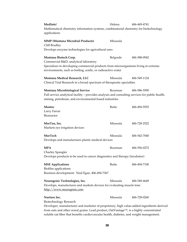| MedIntel<br>Mathematical chemistry information systems, combinatorial chemistry for biotechnology<br>applications                                                                                                                                                                                                                      | Helena         | 406-449-4741 |
|----------------------------------------------------------------------------------------------------------------------------------------------------------------------------------------------------------------------------------------------------------------------------------------------------------------------------------------|----------------|--------------|
| <b>MMP</b> (Montana Microbial Products)<br>Cliff Bradley                                                                                                                                                                                                                                                                               | Missoula       |              |
| Develops enzyme technologies for agricultural uses                                                                                                                                                                                                                                                                                     |                |              |
| Montana Biotech Corp.<br>Commercial R&D, analytical laboratory<br>Specializes in developing commercial products from microorganisms living in extreme                                                                                                                                                                                  | Belgrade       | 406-388-0942 |
| environments, such as boiling, acidic, or radioactive water                                                                                                                                                                                                                                                                            |                |              |
| Montana Medical Research, LLC<br>Clinical Trial Research in a broad spectrum of therapeutic specialties                                                                                                                                                                                                                                | Missoula       | 406-549-1124 |
| Montana Microbiological Service<br>Full service analytical facility - provides analyses and consulting services for public health,<br>mining, petroleum, and environmental based industries                                                                                                                                            | Bozeman        | 406-586-5590 |
| Montec<br>Larry Farrar<br>Bioreactor                                                                                                                                                                                                                                                                                                   | <b>Butte</b>   | 406-494-5555 |
| MorTan, Inc.<br>Markets eye irrigation devices                                                                                                                                                                                                                                                                                         | Missoula       | 406-728-2522 |
| MorTech<br>Develops and manufactures plastic medical devices                                                                                                                                                                                                                                                                           | Missoula       | 406-542-7040 |
| <b>MPA</b><br>Charley Spangler                                                                                                                                                                                                                                                                                                         | <b>Bozeman</b> | 406-556-0272 |
| Develops products to be used in cancer diagnostics and therapy (incubator)                                                                                                                                                                                                                                                             |                |              |
| <b>MSE</b> Applications<br>Biofilm applications<br>Business development: Neal Egan, 406-494-7367                                                                                                                                                                                                                                       | Butte          | 406-494-7100 |
| Neurogenic Technologies, Inc.<br>Develops, manufactures and markets devices for evaluating muscle tone<br>http://www.neurogenic.com                                                                                                                                                                                                    | Missoula       | 406-549-4649 |
| Nurture Inc.<br>Biotechnology Research<br>Developer, manufacturer and marketer of proprietary, high value-added ingredients derived<br>from oats and other cereal grains. Lead product, OatVantage <sup>TM</sup> , is a highly concentrated<br>soluble oat fiber that benefits cardiovascular health, diabetes, and weight management. | Missoula       | 406-728-0260 |

**38**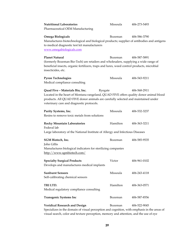| <b>Nutritional Laboratories!</b><br>Pharmaceutical OEM Manufacturing                                                                                                                                                                                                   | Missoula!      | 406-273-5493 |
|------------------------------------------------------------------------------------------------------------------------------------------------------------------------------------------------------------------------------------------------------------------------|----------------|--------------|
| Omega Biologicals<br>Manufactures biotechnological and biological products; supplier of antibodies and antigens<br>to medical diagnostic test kit manufacturers<br>www.omegabiologicals.com                                                                            | <b>Bozeman</b> | 406-586-3790 |
| <b>Planet Natural</b><br>(formerly Bozeman Bio-Tech) are retailers and wholesalers, supplying a wide range of<br>beneficial insects, organic fertilizers, traps and lures, weed control products, microbial<br>insecticides, etc.                                      | <b>Bozeman</b> | 406-587-5891 |
| <b>Pyron Technologies!</b><br>Medical compliance consulting                                                                                                                                                                                                            | Missoula!      | 406-543-9211 |
| Quad Five - Materials Bio, Inc.<br>Ryegate<br>Located in the heart of Montana rangeland, QUAD FIVE offers quality donor animal blood<br>products. All QUAD FIVE donor animals are carefully selected and maintained under<br>veterinary care and diagnostic protocols. |                | 406-568-2911 |
| Purity Systems, Inc. !<br>Resins to remove toxic metals from solutions                                                                                                                                                                                                 | Missoula!      | 406-532-3237 |
| <b>Rocky Mountain Laboratories</b><br>Federal lab<br>Large laboratory of the National Institute of Allergy and Infectious Diseases                                                                                                                                     | Hamilton!      | 406-363-3211 |
| SGM Biotech, Inc.<br>John Gillis<br>Manufactures biological indicators for sterilizing companies<br>http://www.sgmbiotech.com/                                                                                                                                         | Bozeman        | 406-585-9535 |
| <b>Specialty Surgical Products</b><br>Develops and manufactures medical implants                                                                                                                                                                                       | Victor         | 406-961-0102 |
| <b>Sunburst Sensors!</b><br>Self-calibrating chemical sensors                                                                                                                                                                                                          | Missoula!      | 406-243-4118 |
| TRI LTD. !<br>Medical regulatory compliance consulting                                                                                                                                                                                                                 | Hamilton       | 406-363-0571 |
| <b>Transgenic Systems Inc</b>                                                                                                                                                                                                                                          | Bozeman        | 406-587-8556 |
| <b>Veridical Research and Design</b><br>Specializes in the domain of visual perception and cognition, with emphasis in the areas of<br>visual search, color and texture perception, memory and attention, and the use of eye                                           | Bozeman        | 406-522-9045 |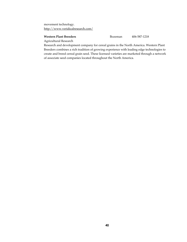movement technology. http://www.veridicalresearch.com/

#### **Western Plant Breeders** Bozeman 406-587-1218

Agricultural Research

Research and development company for cereal grains in the North America. Western Plant Breeders combines a rich tradition of growing experience with leading edge technologies to create and breed cereal grain seed. These licensed varieties are marketed through a network of associate seed companies located throughout the North America.